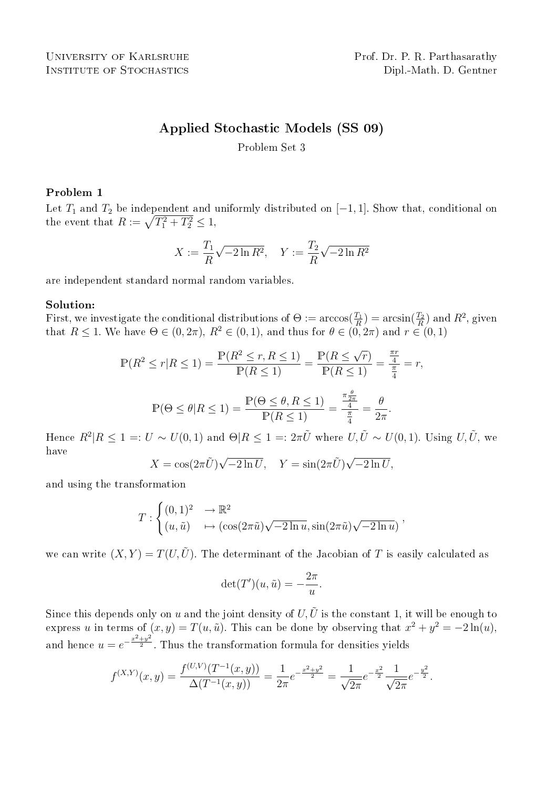# Applied Stochastic Models (SS 09)

Problem Set 3

## Problem 1

Let  $T_1$  and  $T_2$  be independent and uniformly distributed on [−1, 1]. Show that, conditional on Let  $T_1$  and  $T_2$  be independent and the event that  $R := \sqrt{T_1^2 + T_2^2} \leq 1$ ,

$$
X := \frac{T_1}{R} \sqrt{-2 \ln R^2}, \quad Y := \frac{T_2}{R} \sqrt{-2 \ln R^2}
$$

are independent standard normal random variables.

### Solution:

First, we investigate the conditional distributions of  $\Theta := \arccos(\frac{T_1}{R}) = \arcsin(\frac{T_2}{R})$  and  $R^2$ , given that  $R \leq 1$ . We have  $\Theta \in (0, 2\pi)$ ,  $R^2 \in (0, 1)$ , and thus for  $\theta \in (0, 2\pi)$  and  $r \in (0, 1)$ 

$$
\mathbb{P}(R^2 \le r | R \le 1) = \frac{\mathbb{P}(R^2 \le r, R \le 1)}{\mathbb{P}(R \le 1)} = \frac{\mathbb{P}(R \le \sqrt{r})}{\mathbb{P}(R \le 1)} = \frac{\frac{\pi r}{4}}{\frac{\pi}{4}} = r,
$$
  

$$
\mathbb{P}(\Theta \le \theta | R \le 1) = \frac{\mathbb{P}(\Theta \le \theta, R \le 1)}{\mathbb{P}(R \le 1)} = \frac{\frac{\pi \frac{\theta}{2\pi}}{4}}{\frac{\pi}{4}} = \frac{\theta}{2\pi}.
$$

Hence  $R^2|R \leq 1 =: U \sim U(0,1)$  and  $\Theta|R \leq 1 =: 2\pi \tilde{U}$  where  $U, \tilde{U} \sim U(0,1)$ . Using  $U, \tilde{U}$ , we have √ √

$$
X = \cos(2\pi \tilde{U})\sqrt{-2\ln U}, \quad Y = \sin(2\pi \tilde{U})\sqrt{-2\ln U},
$$

and using the transformation

$$
T: \begin{cases} (0,1)^2 & \to \mathbb{R}^2 \\ (u,\tilde{u}) & \mapsto (\cos(2\pi \tilde{u})\sqrt{-2\ln u}, \sin(2\pi \tilde{u})\sqrt{-2\ln u}) \end{cases}
$$

we can write  $(X, Y) = T(U, \tilde{U})$ . The determinant of the Jacobian of T is easily calculated as

$$
\det(T')(u, \tilde{u}) = -\frac{2\pi}{u}.
$$

Since this depends only on u and the joint density of U,  $\tilde{U}$  is the constant 1, it will be enough to express u in terms of  $(x, y) = T(u, \tilde{u})$ . This can be done by observing that  $x^2 + y^2 = -2\ln(u)$ , and hence  $u = e^{-\frac{x^2 + y^2}{2}}$ . Thus the transformation formula for densities yields

$$
f^{(X,Y)}(x,y) = \frac{f^{(U,V)}(T^{-1}(x,y))}{\Delta(T^{-1}(x,y))} = \frac{1}{2\pi}e^{-\frac{x^2+y^2}{2}} = \frac{1}{\sqrt{2\pi}}e^{-\frac{x^2}{2}}\frac{1}{\sqrt{2\pi}}e^{-\frac{y^2}{2}}.
$$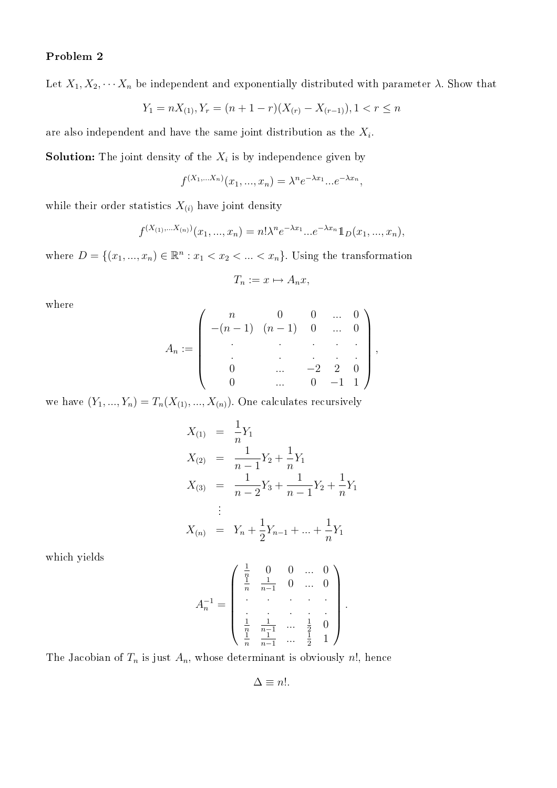# Problem 2

Let  $X_1, X_2, \cdots X_n$  be independent and exponentially distributed with parameter  $\lambda$ . Show that

$$
Y_1 = nX_{(1)}, Y_r = (n+1-r)(X_{(r)} - X_{(r-1)}), 1 < r \le n
$$

are also independent and have the same joint distribution as the  $X_i$ .

**Solution:** The joint density of the  $X_i$  is by independence given by

$$
f^{(X_1,...X_n)}(x_1,...,x_n) = \lambda^n e^{-\lambda x_1}...e^{-\lambda x_n},
$$

while their order statistics  $X_{(i)}$  have joint density

$$
f^{(X_{(1)},...X_{(n)})}(x_1,...,x_n) = n! \lambda^n e^{-\lambda x_1} ... e^{-\lambda x_n} 1\!\!1_D(x_1,...,x_n),
$$

where  $D = \{(x_1, ..., x_n) \in \mathbb{R}^n : x_1 < x_2 < ... < x_n\}$ . Using the transformation

$$
T_n := x \mapsto A_n x,
$$

where

$$
A_n := \left( \begin{array}{ccccc} n & 0 & 0 & \dots & 0 \\ -(n-1) & (n-1) & 0 & \dots & 0 \\ \vdots & \vdots & \ddots & \vdots & \vdots \\ 0 & \dots & -2 & 2 & 0 \\ 0 & \dots & 0 & -1 & 1 \end{array} \right),
$$

we have  $(Y_1, ..., Y_n) = T_n(X_{(1)}, ..., X_{(n)})$ . One calculates recursively

$$
X_{(1)} = \frac{1}{n}Y_1
$$
  
\n
$$
X_{(2)} = \frac{1}{n-1}Y_2 + \frac{1}{n}Y_1
$$
  
\n
$$
X_{(3)} = \frac{1}{n-2}Y_3 + \frac{1}{n-1}Y_2 + \frac{1}{n}Y_1
$$
  
\n
$$
\vdots
$$
  
\n
$$
X_{(n)} = Y_n + \frac{1}{2}Y_{n-1} + \dots + \frac{1}{n}Y_1
$$

which yields

$$
A_n^{-1} = \left( \begin{array}{ccccc} \frac{1}{n} & 0 & 0 & \dots & 0 \\ \frac{1}{n} & \frac{1}{n-1} & 0 & \dots & 0 \\ \cdot & \cdot & \cdot & \cdot & \cdot \\ \cdot & \cdot & \cdot & \cdot & \cdot \\ \frac{1}{n} & \frac{1}{n-1} & \dots & \frac{1}{2} & 0 \\ \frac{1}{n} & \frac{1}{n-1} & \dots & \frac{1}{2} & 1 \end{array} \right).
$$

The Jacobian of  $T_n$  is just  $A_n$ , whose determinant is obviously n!, hence

$$
\Delta \equiv n!.
$$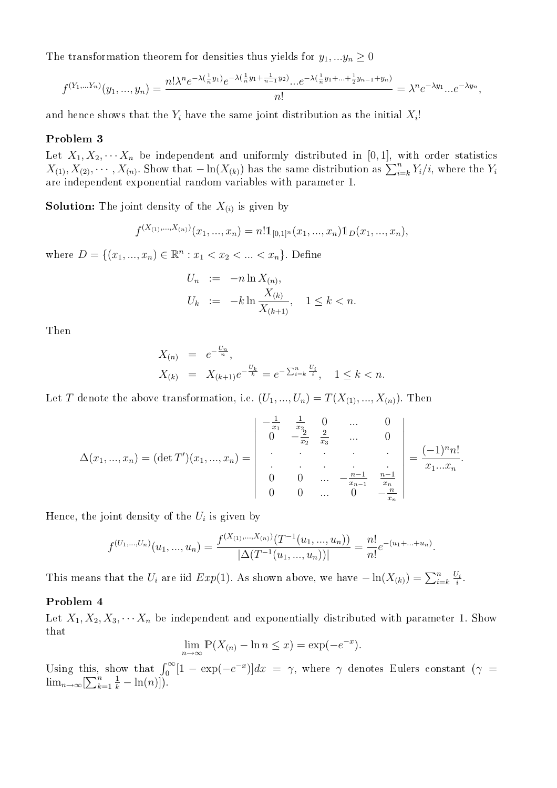The transformation theorem for densities thus yields for  $y_1, \ldots, y_n \geq 0$ 

$$
f^{(Y_1,...Y_n)}(y_1,...,y_n) = \frac{n! \lambda^n e^{-\lambda(\frac{1}{n}y_1)} e^{-\lambda(\frac{1}{n}y_1 + \frac{1}{n-1}y_2)}...e^{-\lambda(\frac{1}{n}y_1 + ... + \frac{1}{2}y_{n-1} + y_n)}}{n!} = \lambda^n e^{-\lambda y_1} ... e^{-\lambda y_n},
$$

and hence shows that the  $Y_i$  have the same joint distribution as the initial  $X_i!$ 

#### Problem 3

Let  $X_1, X_2, \cdots X_n$  be independent and uniformly distributed in [0,1], with order statistics Let  $X_1, X_2, \dots, X_n$  be independent and uniformly distributed in [0, 1], with order statistics  $X_{(1)}, X_{(2)}, \dots, X_{(n)}$ . Show that  $-\ln(X_{(k)})$  has the same distribution as  $\sum_{i=k}^n Y_i/i$ , where the  $Y_i$ are independent exponential random variables with parameter 1.

**Solution:** The joint density of the  $X_{(i)}$  is given by

$$
f^{(X_{(1)},...,X_{(n)})}(x_1,...,x_n) = n! \mathbb{1}_{[0,1]^n}(x_1,...,x_n) \mathbb{1}_D(x_1,...,x_n),
$$

where  $D = \{(x_1, ..., x_n) \in \mathbb{R}^n : x_1 < x_2 < ... < x_n\}$ . Define

$$
U_n := -n \ln X_{(n)},
$$
  
\n
$$
U_k := -k \ln \frac{X_{(k)}}{X_{(k+1)}}, \quad 1 \le k < n.
$$

Then

$$
X_{(n)} = e^{-\frac{U_n}{n}},
$$
  
\n
$$
X_{(k)} = X_{(k+1)}e^{-\frac{U_k}{k}} = e^{-\sum_{i=k}^{n} \frac{U_i}{i}}, \quad 1 \le k < n.
$$

Let T denote the above transformation, i.e.  $(U_1, ..., U_n) = T(X_{(1)}, ..., X_{(n)})$ . Then

$$
\Delta(x_1, ..., x_n) = (\det T')(x_1, ..., x_n) = \begin{vmatrix}\n-\frac{1}{x_1} & \frac{1}{x_2} & 0 & \cdots & 0 \\
0 & -\frac{2}{x_2} & \frac{2}{x_3} & \cdots & 0 \\
\vdots & \vdots & \ddots & \vdots & \vdots \\
0 & 0 & \cdots & -\frac{n-1}{x_{n-1}} & \frac{n-1}{x_n} \\
0 & 0 & \cdots & 0 & -\frac{n}{x_n}\n\end{vmatrix} = \frac{(-1)^n n!}{x_1 ... x_n}.
$$

Hence, the joint density of the  $U_i$  is given by

$$
f^{(U_1,...,U_n)}(u_1,...,u_n) = \frac{f^{(X_{(1)},...,X_{(n)})}(T^{-1}(u_1,...,u_n))}{|\Delta(T^{-1}(u_1,...,u_n))|} = \frac{n!}{n!}e^{-(u_1+...+u_n)}.
$$

This means that the  $U_i$  are iid  $Exp(1)$ . As shown above, we have  $-\ln(X_{(k)}) = \sum_{i=k}^n \frac{U_i}{i}$  $\frac{j_i}{i}$  .

### Problem 4

Let  $X_1, X_2, X_3, \cdots, X_n$  be independent and exponentially distributed with parameter 1. Show that

$$
\lim_{n \to \infty} \mathbb{P}(X_{(n)} - \ln n \le x) = \exp(-e^{-x}).
$$

Using this, show that  $\int_0^\infty [1 - \exp(-e^{-x})] dx = \gamma$ , where  $\gamma$  denotes Eulers constant ( $\gamma$  = Using ums,<br> $lim_{n\to\infty}[\sum_{k}^{n}$  $k=1$  $\frac{1}{k} - \ln(n)$ ]).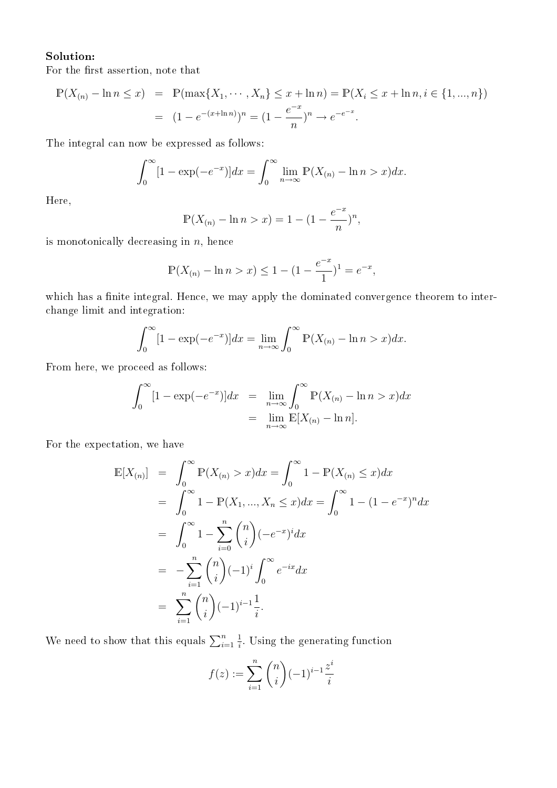## Solution:

For the first assertion, note that

$$
\mathbb{P}(X_{(n)} - \ln n \le x) = \mathbb{P}(\max\{X_1, \dots, X_n\} \le x + \ln n) = \mathbb{P}(X_i \le x + \ln n, i \in \{1, ..., n\})
$$

$$
= (1 - e^{-(x + \ln n)})^n = (1 - \frac{e^{-x}}{n})^n \to e^{-e^{-x}}.
$$

The integral can now be expressed as follows:

$$
\int_0^\infty [1 - \exp(-e^{-x})] dx = \int_0^\infty \lim_{n \to \infty} \mathbb{P}(X_{(n)} - \ln n > x) dx.
$$

Here,

$$
\mathbb{P}(X_{(n)} - \ln n > x) = 1 - (1 - \frac{e^{-x}}{n})^n,
$$

is monotonically decreasing in  $n$ , hence

$$
\mathbb{P}(X_{(n)} - \ln n > x) \le 1 - (1 - \frac{e^{-x}}{1})^1 = e^{-x},
$$

which has a finite integral. Hence, we may apply the dominated convergence theorem to interchange limit and integration:

$$
\int_0^\infty [1 - \exp(-e^{-x})] dx = \lim_{n \to \infty} \int_0^\infty \mathbb{P}(X_{(n)} - \ln n > x) dx.
$$

From here, we proceed as follows:

$$
\int_0^\infty [1 - \exp(-e^{-x})] dx = \lim_{n \to \infty} \int_0^\infty \mathbb{P}(X_{(n)} - \ln n > x) dx
$$
  
= 
$$
\lim_{n \to \infty} \mathbb{E}[X_{(n)} - \ln n].
$$

For the expectation, we have

$$
\mathbb{E}[X_{(n)}] = \int_0^\infty \mathbb{P}(X_{(n)} > x) dx = \int_0^\infty 1 - \mathbb{P}(X_{(n)} \le x) dx
$$
  
\n
$$
= \int_0^\infty 1 - \mathbb{P}(X_1, ..., X_n \le x) dx = \int_0^\infty 1 - (1 - e^{-x})^n dx
$$
  
\n
$$
= \int_0^\infty 1 - \sum_{i=0}^n {n \choose i} (-e^{-x})^i dx
$$
  
\n
$$
= -\sum_{i=1}^n {n \choose i} (-1)^i \int_0^\infty e^{-ix} dx
$$
  
\n
$$
= \sum_{i=1}^n {n \choose i} (-1)^{i-1} \frac{1}{i}.
$$

We need to show that this equals  $\sum_{i=1}^{n}$ 1  $\frac{1}{i}$ . Using the generating function

$$
f(z) := \sum_{i=1}^{n} {n \choose i} (-1)^{i-1} \frac{z^{i}}{i}
$$